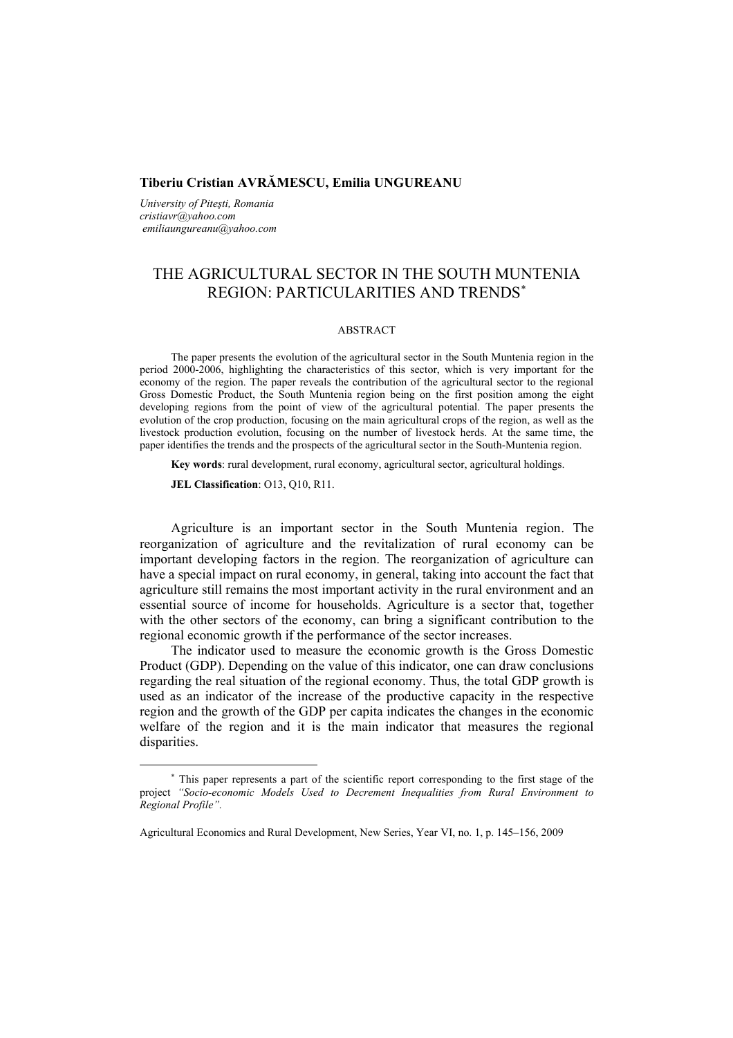## **Tiberiu Cristian AVRĂMESCU, Emilia UNGUREANU**

*University of Piteşti, Romania cristiavr@yahoo.com emiliaungureanu@yahoo.com* 

# THE AGRICULTURAL SECTOR IN THE SOUTH MUNTENIA REGION: PARTICULARITIES AND TRENDS<sup>∗</sup>

### ABSTRACT

The paper presents the evolution of the agricultural sector in the South Muntenia region in the period 2000-2006, highlighting the characteristics of this sector, which is very important for the economy of the region. The paper reveals the contribution of the agricultural sector to the regional Gross Domestic Product, the South Muntenia region being on the first position among the eight developing regions from the point of view of the agricultural potential. The paper presents the evolution of the crop production, focusing on the main agricultural crops of the region, as well as the livestock production evolution, focusing on the number of livestock herds. At the same time, the paper identifies the trends and the prospects of the agricultural sector in the South-Muntenia region.

**Key words**: rural development, rural economy, agricultural sector, agricultural holdings.

**JEL Classification**: O13, Q10, R11.

 $\overline{a}$ 

Agriculture is an important sector in the South Muntenia region. The reorganization of agriculture and the revitalization of rural economy can be important developing factors in the region. The reorganization of agriculture can have a special impact on rural economy, in general, taking into account the fact that agriculture still remains the most important activity in the rural environment and an essential source of income for households. Agriculture is a sector that, together with the other sectors of the economy, can bring a significant contribution to the regional economic growth if the performance of the sector increases.

The indicator used to measure the economic growth is the Gross Domestic Product (GDP). Depending on the value of this indicator, one can draw conclusions regarding the real situation of the regional economy. Thus, the total GDP growth is used as an indicator of the increase of the productive capacity in the respective region and the growth of the GDP per capita indicates the changes in the economic welfare of the region and it is the main indicator that measures the regional disparities.

<sup>∗</sup> This paper represents a part of the scientific report corresponding to the first stage of the project *"Socio-economic Models Used to Decrement Inequalities from Rural Environment to Regional Profile".* 

Agricultural Economics and Rural Development, New Series, Year VI, no. 1, p. 145–156, 2009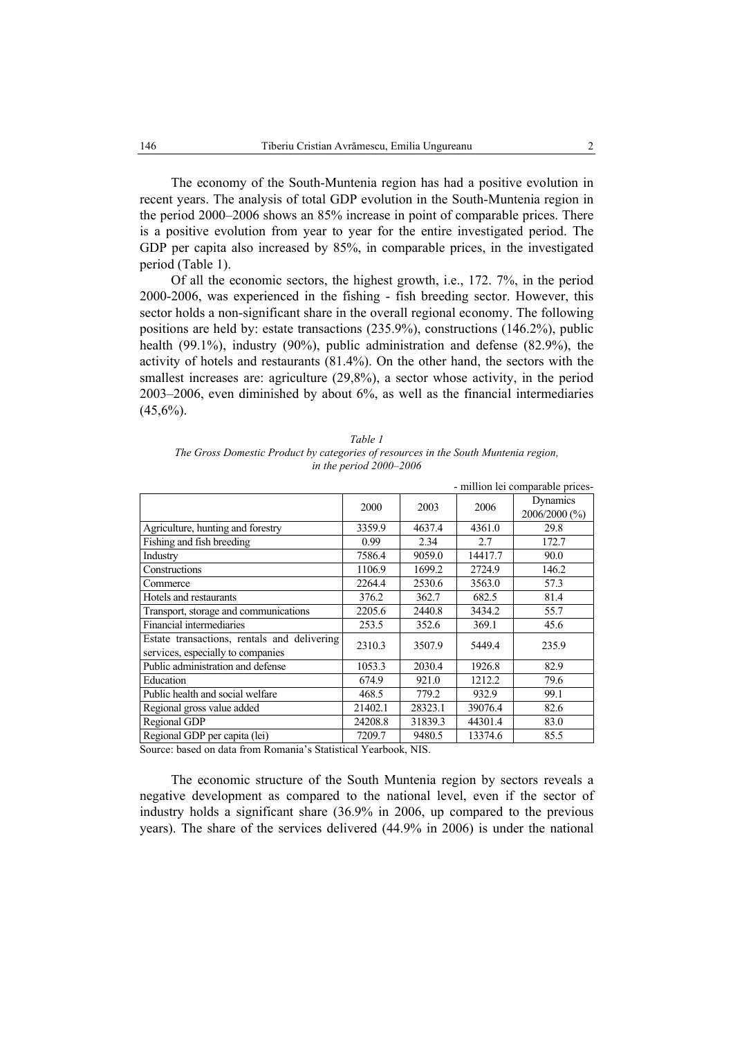The economy of the South-Muntenia region has had a positive evolution in recent years. The analysis of total GDP evolution in the South-Muntenia region in the period 2000–2006 shows an 85% increase in point of comparable prices. There is a positive evolution from year to year for the entire investigated period. The GDP per capita also increased by 85%, in comparable prices, in the investigated period (Table 1).

Of all the economic sectors, the highest growth, i.e., 172. 7%, in the period 2000-2006, was experienced in the fishing - fish breeding sector. However, this sector holds a non-significant share in the overall regional economy. The following positions are held by: estate transactions (235.9%), constructions (146.2%), public health (99.1%), industry (90%), public administration and defense (82.9%), the activity of hotels and restaurants (81.4%). On the other hand, the sectors with the smallest increases are: agriculture (29,8%), a sector whose activity, in the period 2003–2006, even diminished by about 6%, as well as the financial intermediaries  $(45,6\%)$ .

| Table 1                                                                             |
|-------------------------------------------------------------------------------------|
| The Gross Domestic Product by categories of resources in the South Muntenia region, |
| in the period $2000-2006$                                                           |

|                                                                                  |         |         |         | - million lei comparable prices- |
|----------------------------------------------------------------------------------|---------|---------|---------|----------------------------------|
|                                                                                  | 2000    | 2003    | 2006    | Dynamics<br>2006/2000 (%)        |
| Agriculture, hunting and forestry                                                | 3359.9  | 4637.4  | 4361.0  | 29.8                             |
| Fishing and fish breeding                                                        | 0.99    | 2.34    | 2.7     | 172.7                            |
| Industry                                                                         | 7586.4  | 9059.0  | 14417.7 | 90.0                             |
| Constructions                                                                    | 1106.9  | 1699.2  | 2724.9  | 146.2                            |
| Commerce                                                                         | 2264.4  | 2530.6  | 3563.0  | 57.3                             |
| Hotels and restaurants                                                           | 376.2   | 362.7   | 682.5   | 81.4                             |
| Transport, storage and communications                                            | 2205.6  | 2440.8  | 3434.2  | 55.7                             |
| Financial intermediaries                                                         | 253.5   | 352.6   | 369.1   | 45.6                             |
| Estate transactions, rentals and delivering<br>services, especially to companies | 2310.3  | 3507.9  | 5449.4  | 235.9                            |
| Public administration and defense                                                | 1053.3  | 2030.4  | 1926.8  | 82.9                             |
| Education                                                                        | 674.9   | 921.0   | 1212.2  | 79.6                             |
| Public health and social welfare                                                 | 468.5   | 779.2   | 932.9   | 99.1                             |
| Regional gross value added                                                       | 21402.1 | 28323.1 | 39076.4 | 82.6                             |
| Regional GDP                                                                     | 24208.8 | 31839.3 | 44301.4 | 83.0                             |
| Regional GDP per capita (lei)                                                    | 7209.7  | 9480.5  | 13374.6 | 85.5                             |

Source: based on data from Romania's Statistical Yearbook, NIS.

The economic structure of the South Muntenia region by sectors reveals a negative development as compared to the national level, even if the sector of industry holds a significant share (36.9% in 2006, up compared to the previous years). The share of the services delivered (44.9% in 2006) is under the national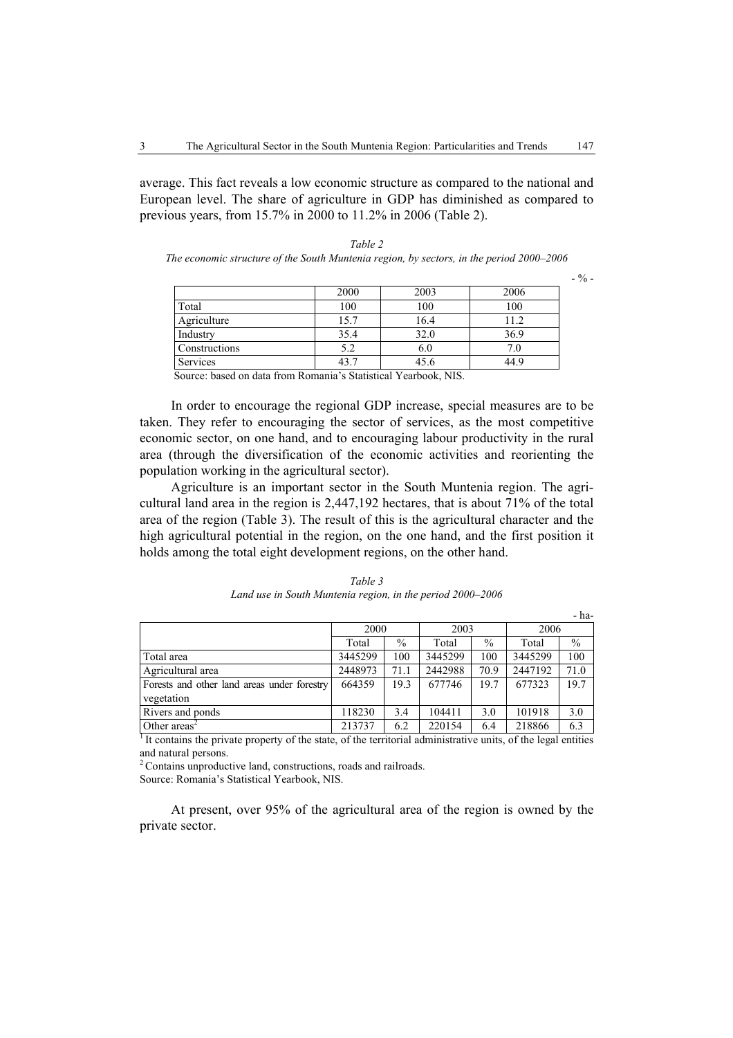average. This fact reveals a low economic structure as compared to the national and European level. The share of agriculture in GDP has diminished as compared to previous years, from 15.7% in 2000 to 11.2% in 2006 (Table 2).

| Table 2                                                                                  |
|------------------------------------------------------------------------------------------|
| The economic structure of the South Muntenia region, by sectors, in the period 2000–2006 |

 $-$  % -

| 2006 | 2003                                 | 2000 |                                                                   |
|------|--------------------------------------|------|-------------------------------------------------------------------|
| 100  | 100                                  | 100  | Total                                                             |
|      | 16.4                                 | 15.7 | Agriculture                                                       |
| 36.9 | 32.0                                 | 35.4 | Industry                                                          |
|      | 6.0                                  | 5.2  | Constructions                                                     |
| 44.9 | 45.6                                 | 43.7 | Services                                                          |
|      | $\overline{\phantom{a}}$<br>$1 - 27$ | .    | $\sim$<br>$\mathbf{I}$<br>$\mathbf{I}$<br>$\sim$ $\sim$<br>$\sim$ |

Source: based on data from Romania's Statistical Yearbook, NIS.

In order to encourage the regional GDP increase, special measures are to be taken. They refer to encouraging the sector of services, as the most competitive economic sector, on one hand, and to encouraging labour productivity in the rural area (through the diversification of the economic activities and reorienting the population working in the agricultural sector).

Agriculture is an important sector in the South Muntenia region. The agricultural land area in the region is 2,447,192 hectares, that is about 71% of the total area of the region (Table 3). The result of this is the agricultural character and the high agricultural potential in the region, on the one hand, and the first position it holds among the total eight development regions, on the other hand.

|                                             |         |               |                                                            |               |         | - ha-         |
|---------------------------------------------|---------|---------------|------------------------------------------------------------|---------------|---------|---------------|
|                                             | 2000    |               | 2003                                                       |               | 2006    |               |
|                                             | Total   | $\%$          | Total                                                      | $\%$          | Total   | $\frac{0}{0}$ |
| Total area                                  | 3445299 | 100           | 3445299                                                    | 100           | 3445299 | 100           |
| Agricultural area                           | 2448973 | 71.1          | 2442988                                                    | 70.9          | 2447192 | 71.0          |
| Forests and other land areas under forestry | 664359  | 19.3          | 677746                                                     | 19.7          | 677323  | 19.7          |
| vegetation                                  |         |               |                                                            |               |         |               |
| Rivers and ponds                            | 118230  | 3.4           | 104411                                                     | 3.0           | 101918  | 3.0           |
| $\sim$ $\cdot$ 1                            | 0.10000 | $\sim$ $\sim$ | $\mathbf{a} \mathbf{a} \mathbf{a} + \mathbf{b} \mathbf{a}$ | $\sim$ $\sim$ | 210055  | $\sim$ $\sim$ |

*Table 3 Land use in South Muntenia region, in the period 2000–2006* 

Other areas<sup>2</sup> 213737 6.2 220154 6.4 218866 6.3 1 It contains the private property of the state, of the territorial administrative units, of the legal entities and natural persons.

2 Contains unproductive land, constructions, roads and railroads.

Source: Romania's Statistical Yearbook, NIS.

At present, over 95% of the agricultural area of the region is owned by the private sector.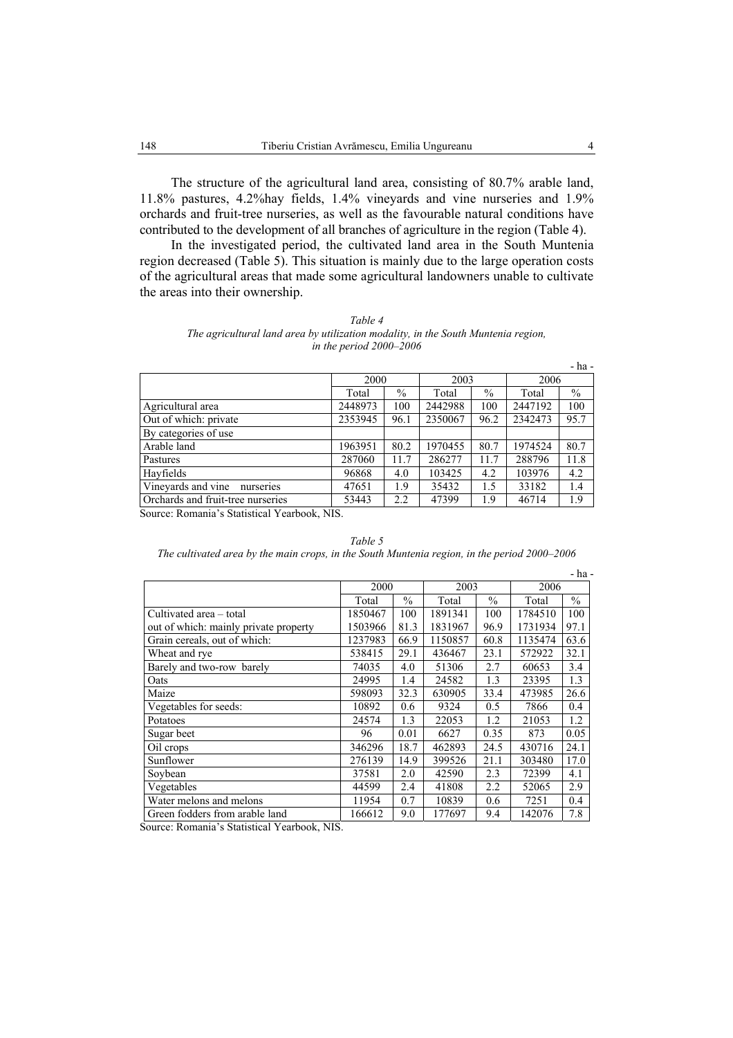The structure of the agricultural land area, consisting of 80.7% arable land, 11.8% pastures, 4.2%hay fields, 1.4% vineyards and vine nurseries and 1.9% orchards and fruit-tree nurseries, as well as the favourable natural conditions have contributed to the development of all branches of agriculture in the region (Table 4).

In the investigated period, the cultivated land area in the South Muntenia region decreased (Table 5). This situation is mainly due to the large operation costs of the agricultural areas that made some agricultural landowners unable to cultivate the areas into their ownership.

|                                   |         |      |         |               |         | - ha -        |
|-----------------------------------|---------|------|---------|---------------|---------|---------------|
|                                   | 2000    |      | 2003    |               | 2006    |               |
|                                   | Total   | $\%$ | Total   | $\frac{0}{0}$ | Total   | $\frac{0}{0}$ |
| Agricultural area                 | 2448973 | 100  | 2442988 | 100           | 2447192 | 100           |
| Out of which: private             | 2353945 | 96.1 | 2350067 | 96.2          | 2342473 | 95.7          |
| By categories of use              |         |      |         |               |         |               |
| Arable land                       | 1963951 | 80.2 | 1970455 | 80.7          | 1974524 | 80.7          |
| Pastures                          | 287060  | 11.7 | 286277  | 11.7          | 288796  | 11.8          |
| Hayfields                         | 96868   | 4.0  | 103425  | 4.2           | 103976  | 4.2           |
| Vineyards and vine<br>nurseries   | 47651   | 1.9  | 35432   | 1.5           | 33182   | 1.4           |
| Orchards and fruit-tree nurseries | 53443   | 2.2  | 47399   | 1.9           | 46714   | 1.9           |

| Table 4                                                                           |
|-----------------------------------------------------------------------------------|
| The agricultural land area by utilization modality, in the South Muntenia region, |
| in the period $2000-2006$                                                         |

Source: Romania's Statistical Yearbook, NIS.

*Table 5 The cultivated area by the main crops, in the South Muntenia region, in the period 2000–2006* 

|                                       |         |               |         |               |         | - ha -        |
|---------------------------------------|---------|---------------|---------|---------------|---------|---------------|
|                                       | 2000    |               | 2003    |               | 2006    |               |
|                                       | Total   | $\frac{0}{0}$ | Total   | $\frac{0}{0}$ | Total   | $\frac{0}{0}$ |
| Cultivated area – total               | 1850467 | 100           | 1891341 | 100           | 1784510 | 100           |
| out of which: mainly private property | 1503966 | 81.3          | 1831967 | 96.9          | 1731934 | 97.1          |
| Grain cereals, out of which:          | 1237983 | 66.9          | 1150857 | 60.8          | 1135474 | 63.6          |
| Wheat and rye                         | 538415  | 29.1          | 436467  | 23.1          | 572922  | 32.1          |
| Barely and two-row barely             | 74035   | 4.0           | 51306   | 2.7           | 60653   | 3.4           |
| Oats                                  | 24995   | 1.4           | 24582   | 1.3           | 23395   | 1.3           |
| Maize                                 | 598093  | 32.3          | 630905  | 33.4          | 473985  | 26.6          |
| Vegetables for seeds:                 | 10892   | 0.6           | 9324    | 0.5           | 7866    | 0.4           |
| Potatoes                              | 24574   | 1.3           | 22053   | 1.2           | 21053   | 1.2           |
| Sugar beet                            | 96      | 0.01          | 6627    | 0.35          | 873     | 0.05          |
| Oil crops                             | 346296  | 18.7          | 462893  | 24.5          | 430716  | 24.1          |
| Sunflower                             | 276139  | 14.9          | 399526  | 21.1          | 303480  | 17.0          |
| Soybean                               | 37581   | 2.0           | 42590   | 2.3           | 72399   | 4.1           |
| Vegetables                            | 44599   | 2.4           | 41808   | 2.2           | 52065   | 2.9           |
| Water melons and melons               | 11954   | 0.7           | 10839   | 0.6           | 7251    | 0.4           |
| Green fodders from arable land        | 166612  | 9.0           | 177697  | 9.4           | 142076  | 7.8           |

Source: Romania's Statistical Yearbook, NIS.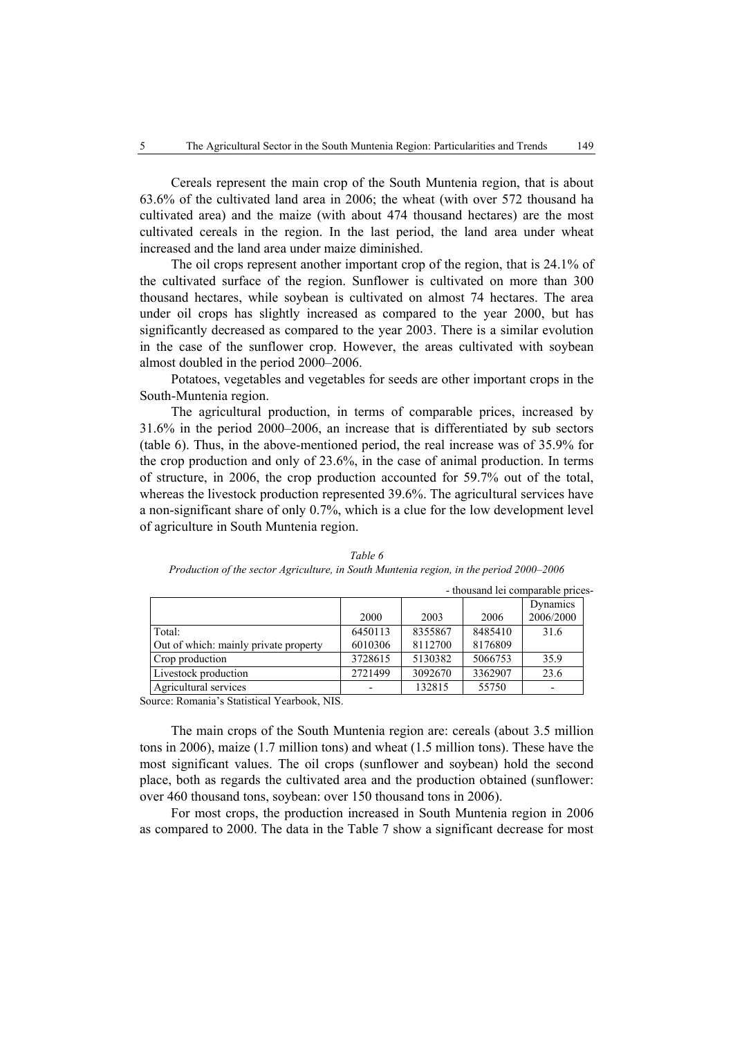Cereals represent the main crop of the South Muntenia region, that is about 63.6% of the cultivated land area in 2006; the wheat (with over 572 thousand ha cultivated area) and the maize (with about 474 thousand hectares) are the most cultivated cereals in the region. In the last period, the land area under wheat increased and the land area under maize diminished.

The oil crops represent another important crop of the region, that is 24.1% of the cultivated surface of the region. Sunflower is cultivated on more than 300 thousand hectares, while soybean is cultivated on almost 74 hectares. The area under oil crops has slightly increased as compared to the year 2000, but has significantly decreased as compared to the year 2003. There is a similar evolution in the case of the sunflower crop. However, the areas cultivated with soybean almost doubled in the period 2000–2006.

Potatoes, vegetables and vegetables for seeds are other important crops in the South-Muntenia region.

The agricultural production, in terms of comparable prices, increased by 31.6% in the period 2000–2006, an increase that is differentiated by sub sectors (table 6). Thus, in the above-mentioned period, the real increase was of 35.9% for the crop production and only of 23.6%, in the case of animal production. In terms of structure, in 2006, the crop production accounted for 59.7% out of the total, whereas the livestock production represented 39.6%. The agricultural services have a non-significant share of only 0.7%, which is a clue for the low development level of agriculture in South Muntenia region.

|                                       |         |         |         | - thousand lei comparable prices- |
|---------------------------------------|---------|---------|---------|-----------------------------------|
|                                       |         |         |         | Dynamics                          |
|                                       | 2000    | 2003    | 2006    | 2006/2000                         |
| Total:                                | 6450113 | 8355867 | 8485410 | 31.6                              |
| Out of which: mainly private property | 6010306 | 8112700 | 8176809 |                                   |
| Crop production                       | 3728615 | 5130382 | 5066753 | 35.9                              |
| Livestock production                  | 2721499 | 3092670 | 3362907 | 23.6                              |
| Agricultural services                 |         | 132815  | 55750   |                                   |

*Table 6 Production of the sector Agriculture, in South Muntenia region, in the period 2000–2006* 

Source: Romania's Statistical Yearbook, NIS.

The main crops of the South Muntenia region are: cereals (about 3.5 million tons in 2006), maize (1.7 million tons) and wheat (1.5 million tons). These have the most significant values. The oil crops (sunflower and soybean) hold the second place, both as regards the cultivated area and the production obtained (sunflower: over 460 thousand tons, soybean: over 150 thousand tons in 2006).

For most crops, the production increased in South Muntenia region in 2006 as compared to 2000. The data in the Table 7 show a significant decrease for most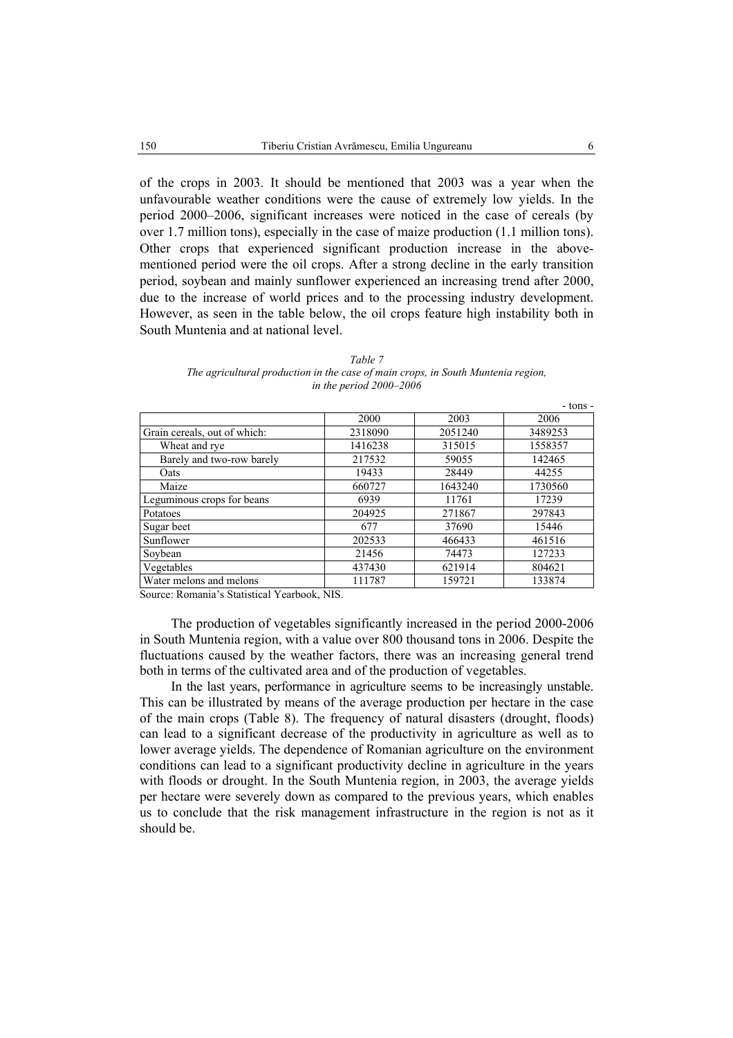of the crops in 2003. It should be mentioned that 2003 was a year when the unfavourable weather conditions were the cause of extremely low yields. In the period 2000–2006, significant increases were noticed in the case of cereals (by over 1.7 million tons), especially in the case of maize production (1.1 million tons). Other crops that experienced significant production increase in the abovementioned period were the oil crops. After a strong decline in the early transition period, soybean and mainly sunflower experienced an increasing trend after 2000, due to the increase of world prices and to the processing industry development. However, as seen in the table below, the oil crops feature high instability both in South Muntenia and at national level.

|                              |         |         | - tons - |
|------------------------------|---------|---------|----------|
|                              | 2000    | 2003    | 2006     |
| Grain cereals, out of which: | 2318090 | 2051240 | 3489253  |
| Wheat and rye                | 1416238 | 315015  | 1558357  |
| Barely and two-row barely    | 217532  | 59055   | 142465   |
| Oats                         | 19433   | 28449   | 44255    |
| Maize                        | 660727  | 1643240 | 1730560  |
| Leguminous crops for beans   | 6939    | 11761   | 17239    |
| Potatoes                     | 204925  | 271867  | 297843   |
| Sugar beet                   | 677     | 37690   | 15446    |
| Sunflower                    | 202533  | 466433  | 461516   |
| Soybean                      | 21456   | 74473   | 127233   |
| Vegetables                   | 437430  | 621914  | 804621   |
| Water melons and melons      | 111787  | 159721  | 133874   |

| Table 7                                                                          |
|----------------------------------------------------------------------------------|
| The agricultural production in the case of main crops, in South Muntenia region, |
| in the period $2000-2006$                                                        |

Source: Romania's Statistical Yearbook, NIS.

The production of vegetables significantly increased in the period 2000-2006 in South Muntenia region, with a value over 800 thousand tons in 2006. Despite the fluctuations caused by the weather factors, there was an increasing general trend both in terms of the cultivated area and of the production of vegetables.

In the last years, performance in agriculture seems to be increasingly unstable. This can be illustrated by means of the average production per hectare in the case of the main crops (Table 8). The frequency of natural disasters (drought, floods) can lead to a significant decrease of the productivity in agriculture as well as to lower average yields. The dependence of Romanian agriculture on the environment conditions can lead to a significant productivity decline in agriculture in the years with floods or drought. In the South Muntenia region, in 2003, the average yields per hectare were severely down as compared to the previous years, which enables us to conclude that the risk management infrastructure in the region is not as it should be.

- tons -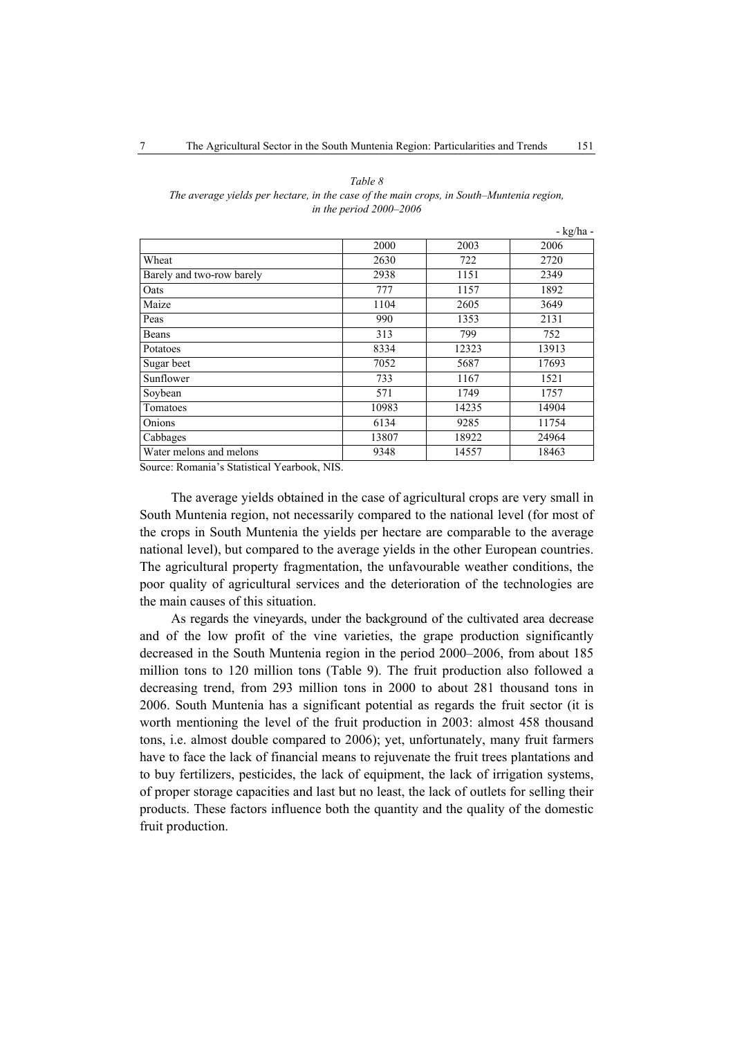*Table 8* 

| The average yields per hectare, in the case of the main crops, in South–Muntenia region, |
|------------------------------------------------------------------------------------------|
| in the period $2000-2006$                                                                |
| - kg/ha -                                                                                |

|                           | 2000  | 2003  | 2006  |
|---------------------------|-------|-------|-------|
| Wheat                     | 2630  | 722   | 2720  |
| Barely and two-row barely | 2938  | 1151  | 2349  |
| Oats                      | 777   | 1157  | 1892  |
| Maize                     | 1104  | 2605  | 3649  |
| Peas                      | 990   | 1353  | 2131  |
| Beans                     | 313   | 799   | 752   |
| Potatoes                  | 8334  | 12323 | 13913 |
| Sugar beet                | 7052  | 5687  | 17693 |
| Sunflower                 | 733   | 1167  | 1521  |
| Soybean                   | 571   | 1749  | 1757  |
| Tomatoes                  | 10983 | 14235 | 14904 |
| Onions                    | 6134  | 9285  | 11754 |
| Cabbages                  | 13807 | 18922 | 24964 |
| Water melons and melons   | 9348  | 14557 | 18463 |

Source: Romania's Statistical Yearbook, NIS.

The average yields obtained in the case of agricultural crops are very small in South Muntenia region, not necessarily compared to the national level (for most of the crops in South Muntenia the yields per hectare are comparable to the average national level), but compared to the average yields in the other European countries. The agricultural property fragmentation, the unfavourable weather conditions, the poor quality of agricultural services and the deterioration of the technologies are the main causes of this situation.

As regards the vineyards, under the background of the cultivated area decrease and of the low profit of the vine varieties, the grape production significantly decreased in the South Muntenia region in the period 2000–2006, from about 185 million tons to 120 million tons (Table 9). The fruit production also followed a decreasing trend, from 293 million tons in 2000 to about 281 thousand tons in 2006. South Muntenia has a significant potential as regards the fruit sector (it is worth mentioning the level of the fruit production in 2003: almost 458 thousand tons, i.e. almost double compared to 2006); yet, unfortunately, many fruit farmers have to face the lack of financial means to rejuvenate the fruit trees plantations and to buy fertilizers, pesticides, the lack of equipment, the lack of irrigation systems, of proper storage capacities and last but no least, the lack of outlets for selling their products. These factors influence both the quantity and the quality of the domestic fruit production.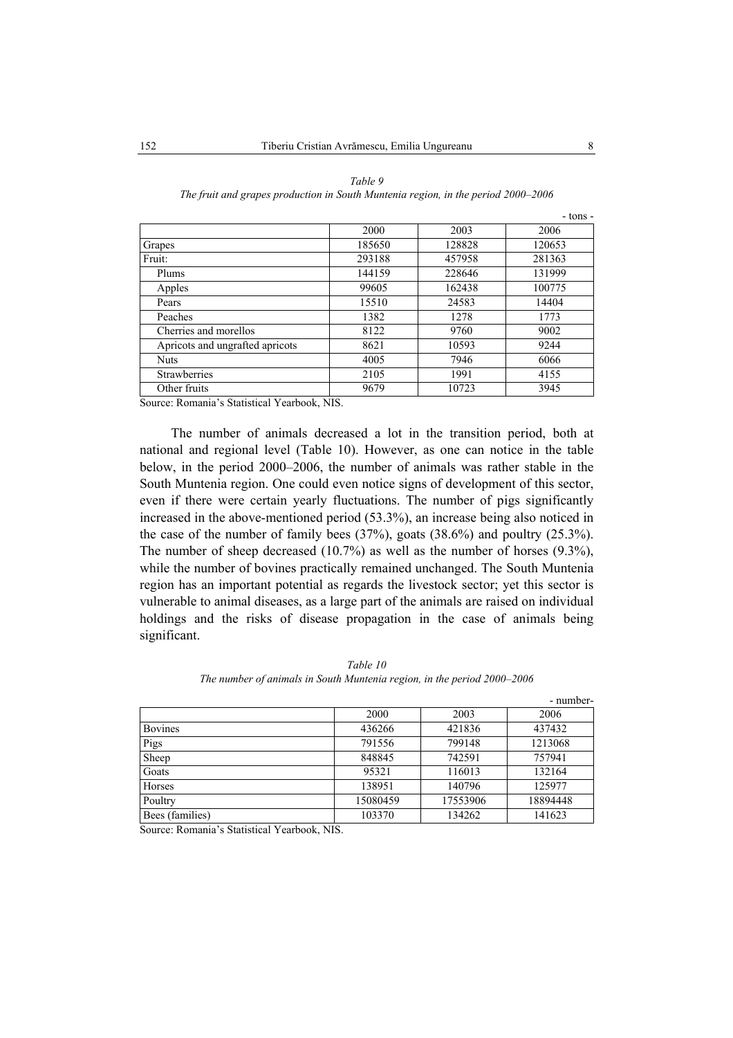|                                 |        |        | - tons - |
|---------------------------------|--------|--------|----------|
|                                 | 2000   | 2003   | 2006     |
| Grapes                          | 185650 | 128828 | 120653   |
| Fruit:                          | 293188 | 457958 | 281363   |
| Plums                           | 144159 | 228646 | 131999   |
| Apples                          | 99605  | 162438 | 100775   |
| Pears                           | 15510  | 24583  | 14404    |
| Peaches                         | 1382   | 1278   | 1773     |
| Cherries and morellos           | 8122   | 9760   | 9002     |
| Apricots and ungrafted apricots | 8621   | 10593  | 9244     |
| <b>Nuts</b>                     | 4005   | 7946   | 6066     |
| <b>Strawberries</b>             | 2105   | 1991   | 4155     |
| Other fruits                    | 9679   | 10723  | 3945     |

*Table 9 The fruit and grapes production in South Muntenia region, in the period 2000–2006* 

Source: Romania's Statistical Yearbook, NIS.

The number of animals decreased a lot in the transition period, both at national and regional level (Table 10). However, as one can notice in the table below, in the period 2000–2006, the number of animals was rather stable in the South Muntenia region. One could even notice signs of development of this sector, even if there were certain yearly fluctuations. The number of pigs significantly increased in the above-mentioned period (53.3%), an increase being also noticed in the case of the number of family bees (37%), goats (38.6%) and poultry (25.3%). The number of sheep decreased (10.7%) as well as the number of horses (9.3%), while the number of bovines practically remained unchanged. The South Muntenia region has an important potential as regards the livestock sector; yet this sector is vulnerable to animal diseases, as a large part of the animals are raised on individual holdings and the risks of disease propagation in the case of animals being significant.

|                 |          |          | - number- |
|-----------------|----------|----------|-----------|
|                 | 2000     | 2003     | 2006      |
| <b>Bovines</b>  | 436266   | 421836   | 437432    |
| Pigs            | 791556   | 799148   | 1213068   |
| Sheep           | 848845   | 742591   | 757941    |
| Goats           | 95321    | 116013   | 132164    |
| Horses          | 138951   | 140796   | 125977    |
| Poultry         | 15080459 | 17553906 | 18894448  |
| Bees (families) | 103370   | 134262   | 141623    |

*Table 10 The number of animals in South Muntenia region, in the period 2000–2006*

Source: Romania's Statistical Yearbook, NIS.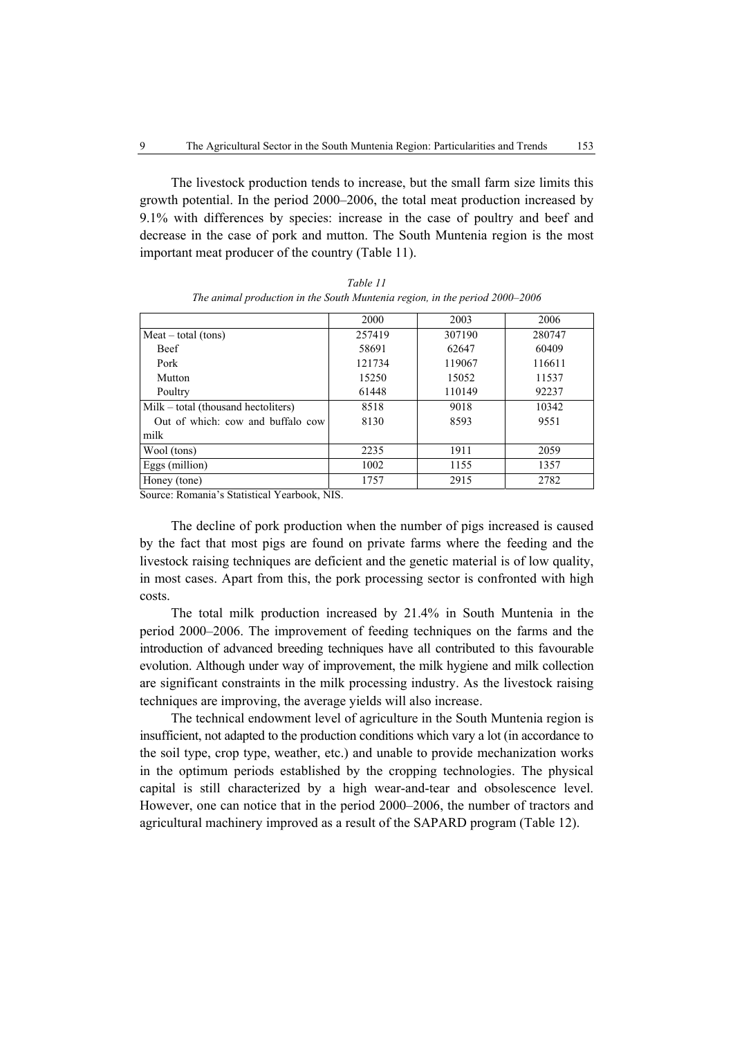The livestock production tends to increase, but the small farm size limits this growth potential. In the period 2000–2006, the total meat production increased by 9.1% with differences by species: increase in the case of poultry and beef and decrease in the case of pork and mutton. The South Muntenia region is the most important meat producer of the country (Table 11).

|                                       | 2000   | 2003   | 2006   |
|---------------------------------------|--------|--------|--------|
| $Mean - total (tons)$                 | 257419 | 307190 | 280747 |
| <b>Beef</b>                           | 58691  | 62647  | 60409  |
| Pork                                  | 121734 | 119067 | 116611 |
| Mutton                                | 15250  | 15052  | 11537  |
| Poultry                               | 61448  | 110149 | 92237  |
| $Milk - total$ (thousand hectoliters) | 8518   | 9018   | 10342  |
| Out of which: cow and buffalo cow     | 8130   | 8593   | 9551   |
| milk                                  |        |        |        |
| Wool (tons)                           | 2235   | 1911   | 2059   |
| Eggs (million)                        | 1002   | 1155   | 1357   |
| Honey (tone)                          | 1757   | 2915   | 2782   |

*Table 11 The animal production in the South Muntenia region, in the period 2000–2006* 

Source: Romania's Statistical Yearbook, NIS.

The decline of pork production when the number of pigs increased is caused by the fact that most pigs are found on private farms where the feeding and the livestock raising techniques are deficient and the genetic material is of low quality, in most cases. Apart from this, the pork processing sector is confronted with high costs.

The total milk production increased by 21.4% in South Muntenia in the period 2000–2006. The improvement of feeding techniques on the farms and the introduction of advanced breeding techniques have all contributed to this favourable evolution. Although under way of improvement, the milk hygiene and milk collection are significant constraints in the milk processing industry. As the livestock raising techniques are improving, the average yields will also increase.

The technical endowment level of agriculture in the South Muntenia region is insufficient, not adapted to the production conditions which vary a lot (in accordance to the soil type, crop type, weather, etc.) and unable to provide mechanization works in the optimum periods established by the cropping technologies. The physical capital is still characterized by a high wear-and-tear and obsolescence level. However, one can notice that in the period 2000–2006, the number of tractors and agricultural machinery improved as a result of the SAPARD program (Table 12).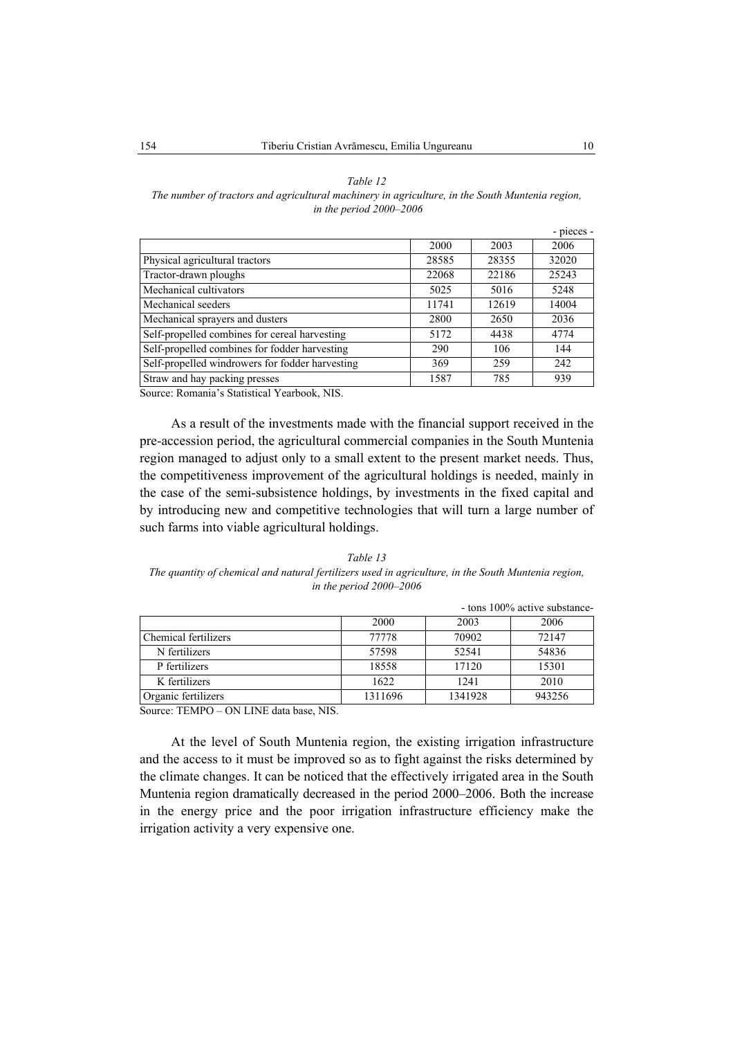#### *Table 12*

### *The number of tractors and agricultural machinery in agriculture, in the South Muntenia region, in the period 2000–2006*

|                                                 |       |       | - pieces - |
|-------------------------------------------------|-------|-------|------------|
|                                                 | 2000  | 2003  | 2006       |
| Physical agricultural tractors                  | 28585 | 28355 | 32020      |
| Tractor-drawn ploughs                           | 22068 | 22186 | 25243      |
| Mechanical cultivators                          | 5025  | 5016  | 5248       |
| Mechanical seeders                              | 11741 | 12619 | 14004      |
| Mechanical sprayers and dusters                 | 2800  | 2650  | 2036       |
| Self-propelled combines for cereal harvesting   | 5172  | 4438  | 4774       |
| Self-propelled combines for fodder harvesting   | 290   | 106   | 144        |
| Self-propelled windrowers for fodder harvesting | 369   | 259   | 242        |
| Straw and hay packing presses                   | 1587  | 785   | 939        |

Source: Romania's Statistical Yearbook, NIS.

As a result of the investments made with the financial support received in the pre-accession period, the agricultural commercial companies in the South Muntenia region managed to adjust only to a small extent to the present market needs. Thus, the competitiveness improvement of the agricultural holdings is needed, mainly in the case of the semi-subsistence holdings, by investments in the fixed capital and by introducing new and competitive technologies that will turn a large number of such farms into viable agricultural holdings.

*Table 13 The quantity of chemical and natural fertilizers used in agriculture, in the South Muntenia region, in the period 2000–2006*

|                      |         |         | - tons 100% active substance- |
|----------------------|---------|---------|-------------------------------|
|                      | 2000    | 2003    | 2006                          |
| Chemical fertilizers | 77778   | 70902   | 72147                         |
| N fertilizers        | 57598   | 52541   | 54836                         |
| P fertilizers        | 18558   | 17120   | 15301                         |
| K fertilizers        | 1622    | 1241    | 2010                          |
| Organic fertilizers  | 1311696 | 1341928 | 943256                        |

Source: TEMPO – ON LINE data base, NIS.

At the level of South Muntenia region, the existing irrigation infrastructure and the access to it must be improved so as to fight against the risks determined by the climate changes. It can be noticed that the effectively irrigated area in the South Muntenia region dramatically decreased in the period 2000–2006. Both the increase in the energy price and the poor irrigation infrastructure efficiency make the irrigation activity a very expensive one.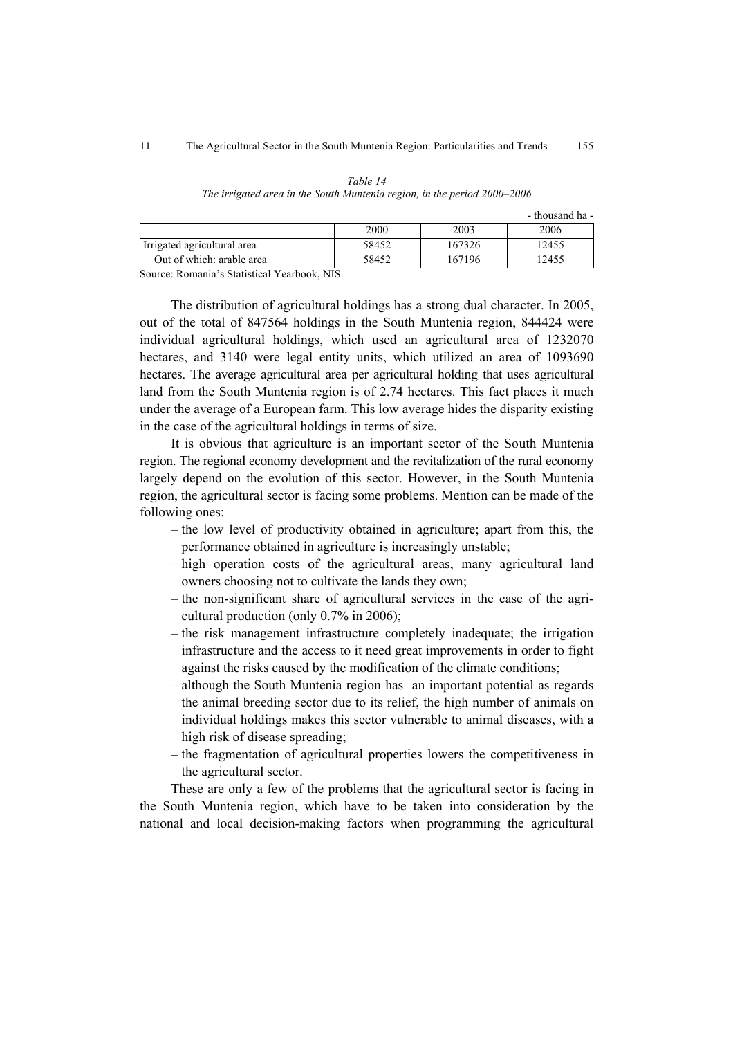| Table 14                                                                 |
|--------------------------------------------------------------------------|
| The irrigated area in the South Muntenia region, in the period 2000–2006 |

- thousand ha -

|                             | 2000  | 2003   | 2006  |
|-----------------------------|-------|--------|-------|
| Irrigated agricultural area | 58452 | 167326 | 12455 |
| Out of which: arable area   | 58452 | 167196 | 12455 |

Source: Romania's Statistical Yearbook, NIS.

The distribution of agricultural holdings has a strong dual character. In 2005, out of the total of 847564 holdings in the South Muntenia region, 844424 were individual agricultural holdings, which used an agricultural area of 1232070 hectares, and 3140 were legal entity units, which utilized an area of 1093690 hectares. The average agricultural area per agricultural holding that uses agricultural land from the South Muntenia region is of 2.74 hectares. This fact places it much under the average of a European farm. This low average hides the disparity existing in the case of the agricultural holdings in terms of size.

It is obvious that agriculture is an important sector of the South Muntenia region. The regional economy development and the revitalization of the rural economy largely depend on the evolution of this sector. However, in the South Muntenia region, the agricultural sector is facing some problems. Mention can be made of the following ones:

- the low level of productivity obtained in agriculture; apart from this, the performance obtained in agriculture is increasingly unstable;
- high operation costs of the agricultural areas, many agricultural land owners choosing not to cultivate the lands they own;
- the non-significant share of agricultural services in the case of the agricultural production (only 0.7% in 2006);
- the risk management infrastructure completely inadequate; the irrigation infrastructure and the access to it need great improvements in order to fight against the risks caused by the modification of the climate conditions;
- although the South Muntenia region has an important potential as regards the animal breeding sector due to its relief, the high number of animals on individual holdings makes this sector vulnerable to animal diseases, with a high risk of disease spreading;
- the fragmentation of agricultural properties lowers the competitiveness in the agricultural sector.

These are only a few of the problems that the agricultural sector is facing in the South Muntenia region, which have to be taken into consideration by the national and local decision-making factors when programming the agricultural